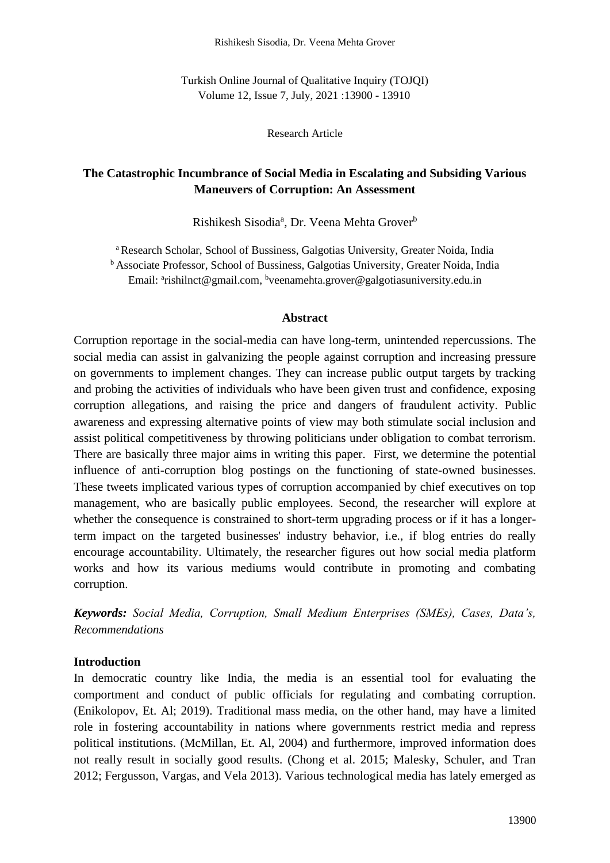Turkish Online Journal of Qualitative Inquiry (TOJQI) Volume 12, Issue 7, July, 2021 :13900 - 13910

Research Article

# **The Catastrophic Incumbrance of Social Media in Escalating and Subsiding Various Maneuvers of Corruption: An Assessment**

Rishikesh Sisodia<sup>a</sup>, Dr. Veena Mehta Grover<sup>b</sup>

<sup>a</sup> Research Scholar, School of Bussiness, Galgotias University, Greater Noida, India <sup>b</sup> Associate Professor, School of Bussiness, Galgotias University, Greater Noida, India Email: <sup>a</sup>rishilnct@gmail.com, <sup>b</sup>veenamehta.grover@galgotiasuniversity.edu.in

#### **Abstract**

Corruption reportage in the social-media can have long-term, unintended repercussions. The social media can assist in galvanizing the people against corruption and increasing pressure on governments to implement changes. They can increase public output targets by tracking and probing the activities of individuals who have been given trust and confidence, exposing corruption allegations, and raising the price and dangers of fraudulent activity. Public awareness and expressing alternative points of view may both stimulate social inclusion and assist political competitiveness by throwing politicians under obligation to combat terrorism. There are basically three major aims in writing this paper. First, we determine the potential influence of anti-corruption blog postings on the functioning of state-owned businesses. These tweets implicated various types of corruption accompanied by chief executives on top management, who are basically public employees. Second, the researcher will explore at whether the consequence is constrained to short-term upgrading process or if it has a longerterm impact on the targeted businesses' industry behavior, i.e., if blog entries do really encourage accountability. Ultimately, the researcher figures out how social media platform works and how its various mediums would contribute in promoting and combating corruption.

*Keywords: Social Media, Corruption, Small Medium Enterprises (SMEs), Cases, Data's, Recommendations* 

#### **Introduction**

In democratic country like India, the media is an essential tool for evaluating the comportment and conduct of public officials for regulating and combating corruption. (Enikolopov, Et. Al; 2019). Traditional mass media, on the other hand, may have a limited role in fostering accountability in nations where governments restrict media and repress political institutions. (McMillan, Et. Al, 2004) and furthermore, improved information does not really result in socially good results. (Chong et al. 2015; Malesky, Schuler, and Tran 2012; Fergusson, Vargas, and Vela 2013). Various technological media has lately emerged as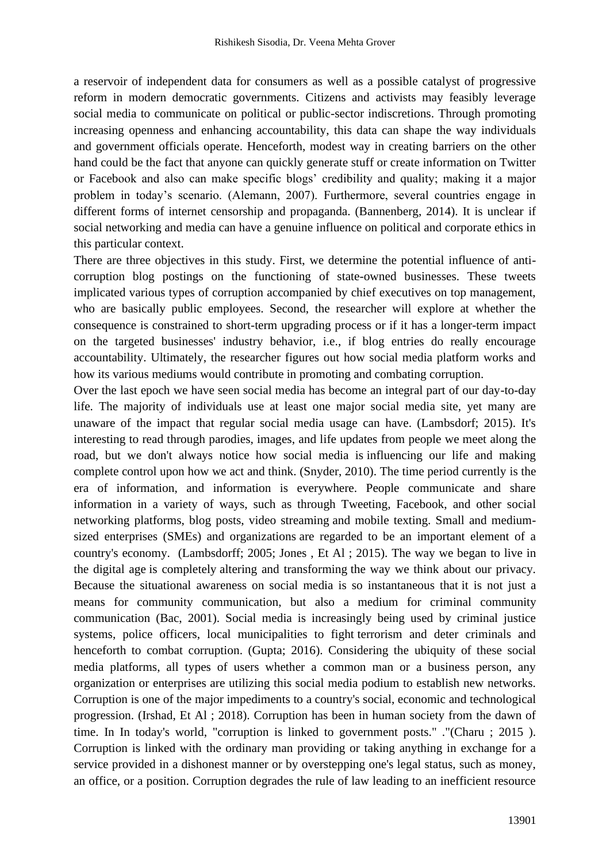a reservoir of independent data for consumers as well as a possible catalyst of progressive reform in modern democratic governments. Citizens and activists may feasibly leverage social media to communicate on political or public-sector indiscretions. Through promoting increasing openness and enhancing accountability, this data can shape the way individuals and government officials operate. Henceforth, modest way in creating barriers on the other hand could be the fact that anyone can quickly generate stuff or create information on Twitter or Facebook and also can make specific blogs' credibility and quality; making it a major problem in today's scenario. (Alemann, 2007). Furthermore, several countries engage in different forms of internet censorship and propaganda. (Bannenberg, 2014). It is unclear if social networking and media can have a genuine influence on political and corporate ethics in this particular context.

There are three objectives in this study. First, we determine the potential influence of anticorruption blog postings on the functioning of state-owned businesses. These tweets implicated various types of corruption accompanied by chief executives on top management, who are basically public employees. Second, the researcher will explore at whether the consequence is constrained to short-term upgrading process or if it has a longer-term impact on the targeted businesses' industry behavior, i.e., if blog entries do really encourage accountability. Ultimately, the researcher figures out how social media platform works and how its various mediums would contribute in promoting and combating corruption.

Over the last epoch we have seen social media has become an integral part of our day-to-day life. The majority of individuals use at least one major social media site, yet many are unaware of the impact that regular social media usage can have. (Lambsdorf; 2015). It's interesting to read through parodies, images, and life updates from people we meet along the road, but we don't always notice how social media is influencing our life and making complete control upon how we act and think. (Snyder, 2010). The time period currently is the era of information, and information is everywhere. People communicate and share information in a variety of ways, such as through Tweeting, Facebook, and other social networking platforms, blog posts, video streaming and mobile texting. Small and mediumsized enterprises (SMEs) and organizations are regarded to be an important element of a country's economy. (Lambsdorff; 2005; Jones , Et Al ; 2015). The way we began to live in the digital age is completely altering and transforming the way we think about our privacy. Because the situational awareness on social media is so instantaneous that it is not just a means for community communication, but also a medium for criminal community communication (Bac, 2001). Social media is increasingly being used by criminal justice systems, police officers, local municipalities to fight terrorism and deter criminals and henceforth to combat corruption. (Gupta; 2016). Considering the ubiquity of these social media platforms, all types of users whether a common man or a business person, any organization or enterprises are utilizing this social media podium to establish new networks. Corruption is one of the major impediments to a country's social, economic and technological progression. (Irshad, Et Al ; 2018). Corruption has been in human society from the dawn of time. In In today's world, "corruption is linked to government posts." ."(Charu ; 2015 ). Corruption is linked with the ordinary man providing or taking anything in exchange for a service provided in a dishonest manner or by overstepping one's legal status, such as money, an office, or a position. Corruption degrades the rule of law leading to an inefficient resource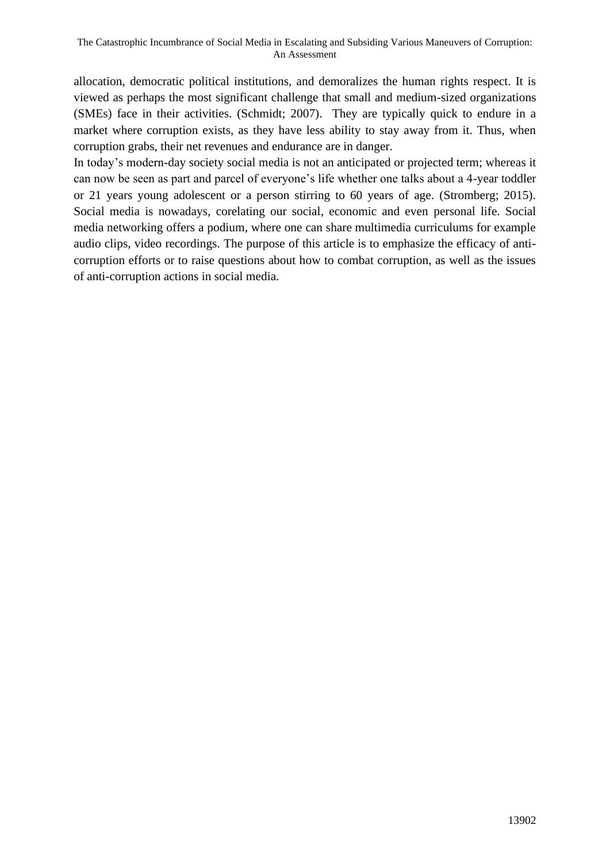allocation, democratic political institutions, and demoralizes the human rights respect. It is viewed as perhaps the most significant challenge that small and medium-sized organizations (SMEs) face in their activities. (Schmidt; 2007). They are typically quick to endure in a market where corruption exists, as they have less ability to stay away from it. Thus, when corruption grabs, their net revenues and endurance are in danger.

In today's modern-day society social media is not an anticipated or projected term; whereas it can now be seen as part and parcel of everyone's life whether one talks about a 4-year toddler or 21 years young adolescent or a person stirring to 60 years of age. (Stromberg; 2015). Social media is nowadays, corelating our social, economic and even personal life. Social media networking offers a podium, where one can share multimedia curriculums for example audio clips, video recordings. The purpose of this article is to emphasize the efficacy of anticorruption efforts or to raise questions about how to combat corruption, as well as the issues of anti-corruption actions in social media.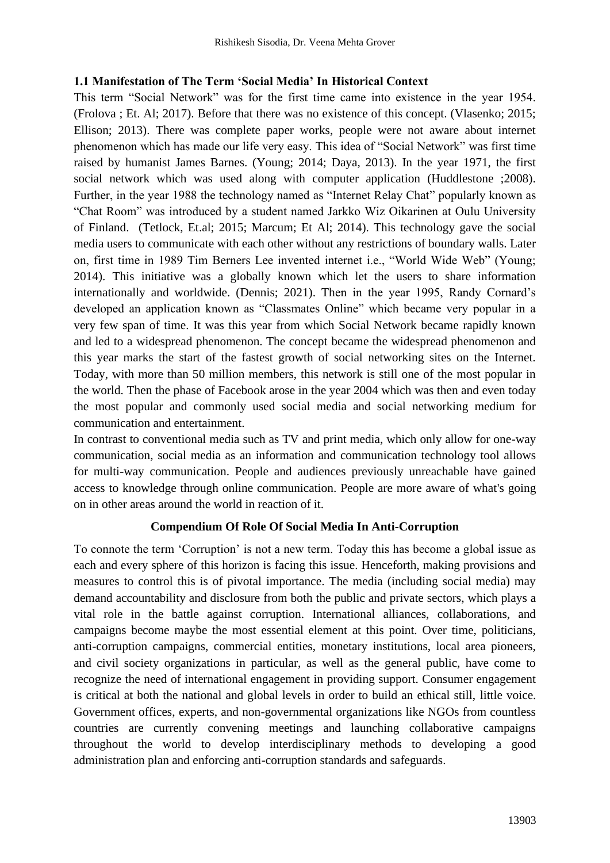### **1.1 Manifestation of The Term 'Social Media' In Historical Context**

This term "Social Network" was for the first time came into existence in the year 1954. (Frolova ; Et. Al; 2017). Before that there was no existence of this concept. (Vlasenko; 2015; Ellison; 2013). There was complete paper works, people were not aware about internet phenomenon which has made our life very easy. This idea of "Social Network" was first time raised by humanist James Barnes. (Young; 2014; Daya, 2013). In the year 1971, the first social network which was used along with computer application (Huddlestone ;2008). Further, in the year 1988 the technology named as "Internet Relay Chat" popularly known as "Chat Room" was introduced by a student named Jarkko Wiz Oikarinen at Oulu University of Finland. (Tetlock, Et.al; 2015; Marcum; Et Al; 2014). This technology gave the social media users to communicate with each other without any restrictions of boundary walls. Later on, first time in 1989 Tim Berners Lee invented internet i.e., "World Wide Web" (Young; 2014). This initiative was a globally known which let the users to share information internationally and worldwide. (Dennis; 2021). Then in the year 1995, Randy Cornard's developed an application known as "Classmates Online" which became very popular in a very few span of time. It was this year from which Social Network became rapidly known and led to a widespread phenomenon. The concept became the widespread phenomenon and this year marks the start of the fastest growth of social networking sites on the Internet. Today, with more than 50 million members, this network is still one of the most popular in the world. Then the phase of Facebook arose in the year 2004 which was then and even today the most popular and commonly used social media and social networking medium for communication and entertainment.

In contrast to conventional media such as TV and print media, which only allow for one-way communication, social media as an information and communication technology tool allows for multi-way communication. People and audiences previously unreachable have gained access to knowledge through online communication. People are more aware of what's going on in other areas around the world in reaction of it.

## **Compendium Of Role Of Social Media In Anti-Corruption**

To connote the term 'Corruption' is not a new term. Today this has become a global issue as each and every sphere of this horizon is facing this issue. Henceforth, making provisions and measures to control this is of pivotal importance. The media (including social media) may demand accountability and disclosure from both the public and private sectors, which plays a vital role in the battle against corruption. International alliances, collaborations, and campaigns become maybe the most essential element at this point. Over time, politicians, anti-corruption campaigns, commercial entities, monetary institutions, local area pioneers, and civil society organizations in particular, as well as the general public, have come to recognize the need of international engagement in providing support. Consumer engagement is critical at both the national and global levels in order to build an ethical still, little voice. Government offices, experts, and non-governmental organizations like NGOs from countless countries are currently convening meetings and launching collaborative campaigns throughout the world to develop interdisciplinary methods to developing a good administration plan and enforcing anti-corruption standards and safeguards.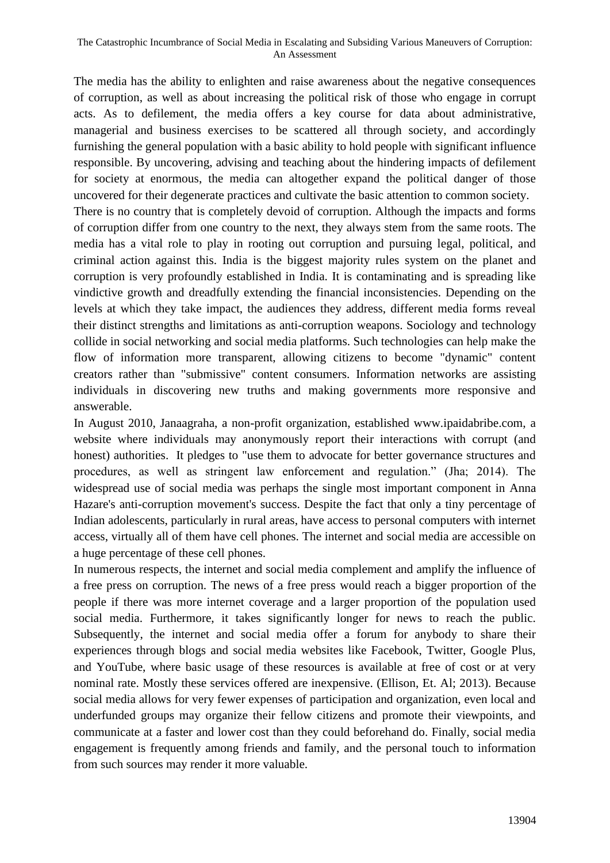The media has the ability to enlighten and raise awareness about the negative consequences of corruption, as well as about increasing the political risk of those who engage in corrupt acts. As to defilement, the media offers a key course for data about administrative, managerial and business exercises to be scattered all through society, and accordingly furnishing the general population with a basic ability to hold people with significant influence responsible. By uncovering, advising and teaching about the hindering impacts of defilement for society at enormous, the media can altogether expand the political danger of those uncovered for their degenerate practices and cultivate the basic attention to common society. There is no country that is completely devoid of corruption. Although the impacts and forms of corruption differ from one country to the next, they always stem from the same roots. The media has a vital role to play in rooting out corruption and pursuing legal, political, and criminal action against this. India is the biggest majority rules system on the planet and corruption is very profoundly established in India. It is contaminating and is spreading like vindictive growth and dreadfully extending the financial inconsistencies. Depending on the levels at which they take impact, the audiences they address, different media forms reveal their distinct strengths and limitations as anti-corruption weapons. Sociology and technology collide in social networking and social media platforms. Such technologies can help make the flow of information more transparent, allowing citizens to become "dynamic" content creators rather than "submissive" content consumers. Information networks are assisting individuals in discovering new truths and making governments more responsive and answerable.

In August 2010, Janaagraha, a non-profit organization, established www.ipaidabribe.com, a website where individuals may anonymously report their interactions with corrupt (and honest) authorities. It pledges to "use them to advocate for better governance structures and procedures, as well as stringent law enforcement and regulation." (Jha; 2014). The widespread use of social media was perhaps the single most important component in Anna Hazare's anti-corruption movement's success. Despite the fact that only a tiny percentage of Indian adolescents, particularly in rural areas, have access to personal computers with internet access, virtually all of them have cell phones. The internet and social media are accessible on a huge percentage of these cell phones.

In numerous respects, the internet and social media complement and amplify the influence of a free press on corruption. The news of a free press would reach a bigger proportion of the people if there was more internet coverage and a larger proportion of the population used social media. Furthermore, it takes significantly longer for news to reach the public. Subsequently, the internet and social media offer a forum for anybody to share their experiences through blogs and social media websites like Facebook, Twitter, Google Plus, and YouTube, where basic usage of these resources is available at free of cost or at very nominal rate. Mostly these services offered are inexpensive. (Ellison, Et. Al; 2013). Because social media allows for very fewer expenses of participation and organization, even local and underfunded groups may organize their fellow citizens and promote their viewpoints, and communicate at a faster and lower cost than they could beforehand do. Finally, social media engagement is frequently among friends and family, and the personal touch to information from such sources may render it more valuable.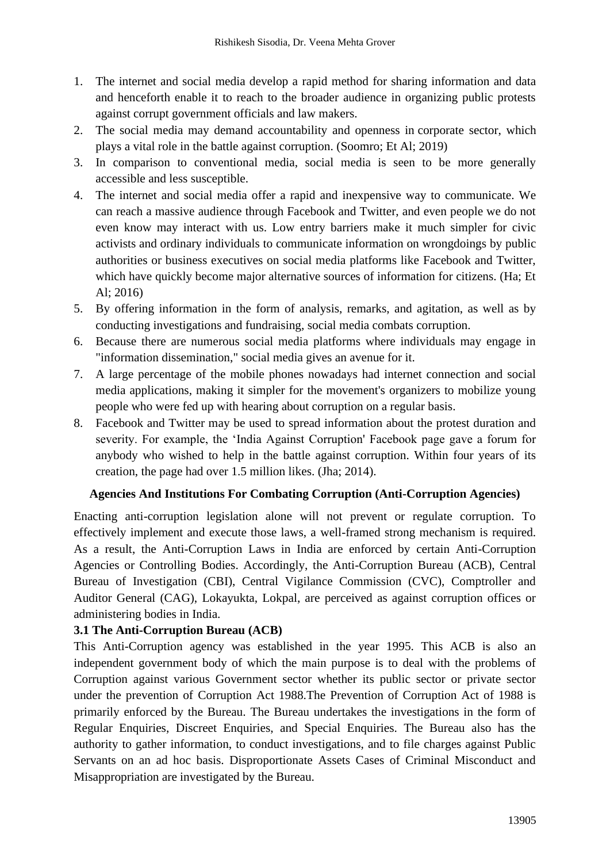- 1. The internet and social media develop a rapid method for sharing information and data and henceforth enable it to reach to the broader audience in organizing public protests against corrupt government officials and law makers.
- 2. The social media may demand accountability and openness in corporate sector, which plays a vital role in the battle against corruption. (Soomro; Et Al; 2019)
- 3. In comparison to conventional media, social media is seen to be more generally accessible and less susceptible.
- 4. The internet and social media offer a rapid and inexpensive way to communicate. We can reach a massive audience through Facebook and Twitter, and even people we do not even know may interact with us. Low entry barriers make it much simpler for civic activists and ordinary individuals to communicate information on wrongdoings by public authorities or business executives on social media platforms like Facebook and Twitter, which have quickly become major alternative sources of information for citizens. (Ha; Et Al; 2016)
- 5. By offering information in the form of analysis, remarks, and agitation, as well as by conducting investigations and fundraising, social media combats corruption.
- 6. Because there are numerous social media platforms where individuals may engage in "information dissemination," social media gives an avenue for it.
- 7. A large percentage of the mobile phones nowadays had internet connection and social media applications, making it simpler for the movement's organizers to mobilize young people who were fed up with hearing about corruption on a regular basis.
- 8. Facebook and Twitter may be used to spread information about the protest duration and severity. For example, the 'India Against Corruption' Facebook page gave a forum for anybody who wished to help in the battle against corruption. Within four years of its creation, the page had over 1.5 million likes. (Jha; 2014).

## **Agencies And Institutions For Combating Corruption (Anti-Corruption Agencies)**

Enacting anti-corruption legislation alone will not prevent or regulate corruption. To effectively implement and execute those laws, a well-framed strong mechanism is required. As a result, the Anti-Corruption Laws in India are enforced by certain Anti-Corruption Agencies or Controlling Bodies. Accordingly, the Anti-Corruption Bureau (ACB), Central Bureau of Investigation (CBI), Central Vigilance Commission (CVC), Comptroller and Auditor General (CAG), Lokayukta, Lokpal, are perceived as against corruption offices or administering bodies in India.

## **3.1 The Anti-Corruption Bureau (ACB)**

This Anti-Corruption agency was established in the year 1995. This ACB is also an independent government body of which the main purpose is to deal with the problems of Corruption against various Government sector whether its public sector or private sector under the prevention of Corruption Act 1988.The Prevention of Corruption Act of 1988 is primarily enforced by the Bureau. The Bureau undertakes the investigations in the form of Regular Enquiries, Discreet Enquiries, and Special Enquiries. The Bureau also has the authority to gather information, to conduct investigations, and to file charges against Public Servants on an ad hoc basis. Disproportionate Assets Cases of Criminal Misconduct and Misappropriation are investigated by the Bureau.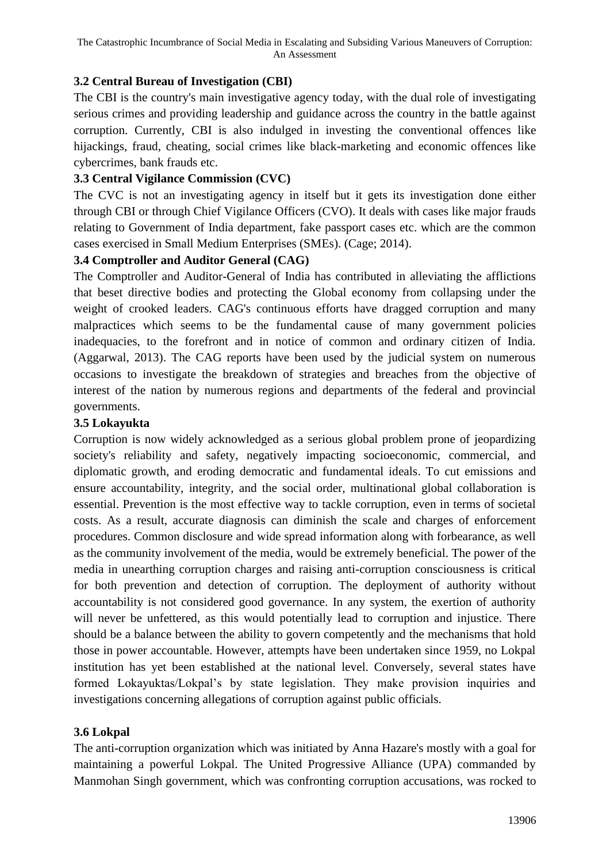# **3.2 Central Bureau of Investigation (CBI)**

The CBI is the country's main investigative agency today, with the dual role of investigating serious crimes and providing leadership and guidance across the country in the battle against corruption. Currently, CBI is also indulged in investing the conventional offences like hijackings, fraud, cheating, social crimes like black-marketing and economic offences like cybercrimes, bank frauds etc.

## **3.3 Central Vigilance Commission (CVC)**

The CVC is not an investigating agency in itself but it gets its investigation done either through CBI or through Chief Vigilance Officers (CVO). It deals with cases like major frauds relating to Government of India department, fake passport cases etc. which are the common cases exercised in Small Medium Enterprises (SMEs). (Cage; 2014).

### **3.4 Comptroller and Auditor General (CAG)**

The Comptroller and Auditor-General of India has contributed in alleviating the afflictions that beset directive bodies and protecting the Global economy from collapsing under the weight of crooked leaders. CAG's continuous efforts have dragged corruption and many malpractices which seems to be the fundamental cause of many government policies inadequacies, to the forefront and in notice of common and ordinary citizen of India. (Aggarwal, 2013). The CAG reports have been used by the judicial system on numerous occasions to investigate the breakdown of strategies and breaches from the objective of interest of the nation by numerous regions and departments of the federal and provincial governments.

### **3.5 Lokayukta**

Corruption is now widely acknowledged as a serious global problem prone of jeopardizing society's reliability and safety, negatively impacting socioeconomic, commercial, and diplomatic growth, and eroding democratic and fundamental ideals. To cut emissions and ensure accountability, integrity, and the social order, multinational global collaboration is essential. Prevention is the most effective way to tackle corruption, even in terms of societal costs. As a result, accurate diagnosis can diminish the scale and charges of enforcement procedures. Common disclosure and wide spread information along with forbearance, as well as the community involvement of the media, would be extremely beneficial. The power of the media in unearthing corruption charges and raising anti-corruption consciousness is critical for both prevention and detection of corruption. The deployment of authority without accountability is not considered good governance. In any system, the exertion of authority will never be unfettered, as this would potentially lead to corruption and injustice. There should be a balance between the ability to govern competently and the mechanisms that hold those in power accountable. However, attempts have been undertaken since 1959, no Lokpal institution has yet been established at the national level. Conversely, several states have formed Lokayuktas/Lokpal's by state legislation. They make provision inquiries and investigations concerning allegations of corruption against public officials.

## **3.6 Lokpal**

The anti-corruption organization which was initiated by Anna Hazare's mostly with a goal for maintaining a powerful Lokpal. The United Progressive Alliance (UPA) commanded by Manmohan Singh government, which was confronting corruption accusations, was rocked to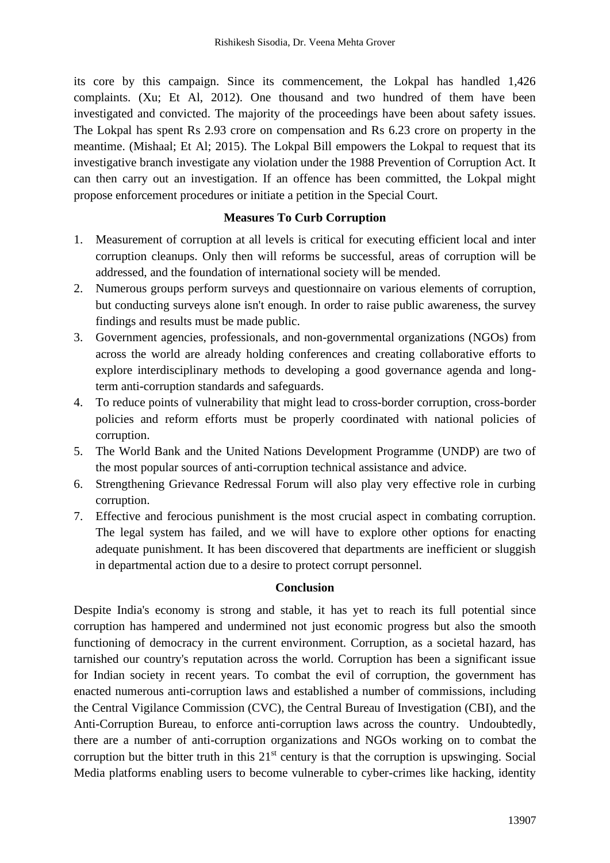its core by this campaign. Since its commencement, the Lokpal has handled 1,426 complaints. (Xu; Et Al, 2012). One thousand and two hundred of them have been investigated and convicted. The majority of the proceedings have been about safety issues. The Lokpal has spent Rs 2.93 crore on compensation and Rs 6.23 crore on property in the meantime. (Mishaal; Et Al; 2015). The Lokpal Bill empowers the Lokpal to request that its investigative branch investigate any violation under the 1988 Prevention of Corruption Act. It can then carry out an investigation. If an offence has been committed, the Lokpal might propose enforcement procedures or initiate a petition in the Special Court.

### **Measures To Curb Corruption**

- 1. Measurement of corruption at all levels is critical for executing efficient local and inter corruption cleanups. Only then will reforms be successful, areas of corruption will be addressed, and the foundation of international society will be mended.
- 2. Numerous groups perform surveys and questionnaire on various elements of corruption, but conducting surveys alone isn't enough. In order to raise public awareness, the survey findings and results must be made public.
- 3. Government agencies, professionals, and non-governmental organizations (NGOs) from across the world are already holding conferences and creating collaborative efforts to explore interdisciplinary methods to developing a good governance agenda and longterm anti-corruption standards and safeguards.
- 4. To reduce points of vulnerability that might lead to cross-border corruption, cross-border policies and reform efforts must be properly coordinated with national policies of corruption.
- 5. The World Bank and the United Nations Development Programme (UNDP) are two of the most popular sources of anti-corruption technical assistance and advice.
- 6. Strengthening Grievance Redressal Forum will also play very effective role in curbing corruption.
- 7. Effective and ferocious punishment is the most crucial aspect in combating corruption. The legal system has failed, and we will have to explore other options for enacting adequate punishment. It has been discovered that departments are inefficient or sluggish in departmental action due to a desire to protect corrupt personnel.

#### **Conclusion**

Despite India's economy is strong and stable, it has yet to reach its full potential since corruption has hampered and undermined not just economic progress but also the smooth functioning of democracy in the current environment. Corruption, as a societal hazard, has tarnished our country's reputation across the world. Corruption has been a significant issue for Indian society in recent years. To combat the evil of corruption, the government has enacted numerous anti-corruption laws and established a number of commissions, including the Central Vigilance Commission (CVC), the Central Bureau of Investigation (CBI), and the Anti-Corruption Bureau, to enforce anti-corruption laws across the country. Undoubtedly, there are a number of anti-corruption organizations and NGOs working on to combat the corruption but the bitter truth in this  $21<sup>st</sup>$  century is that the corruption is upswinging. Social Media platforms enabling users to become vulnerable to cyber-crimes like hacking, identity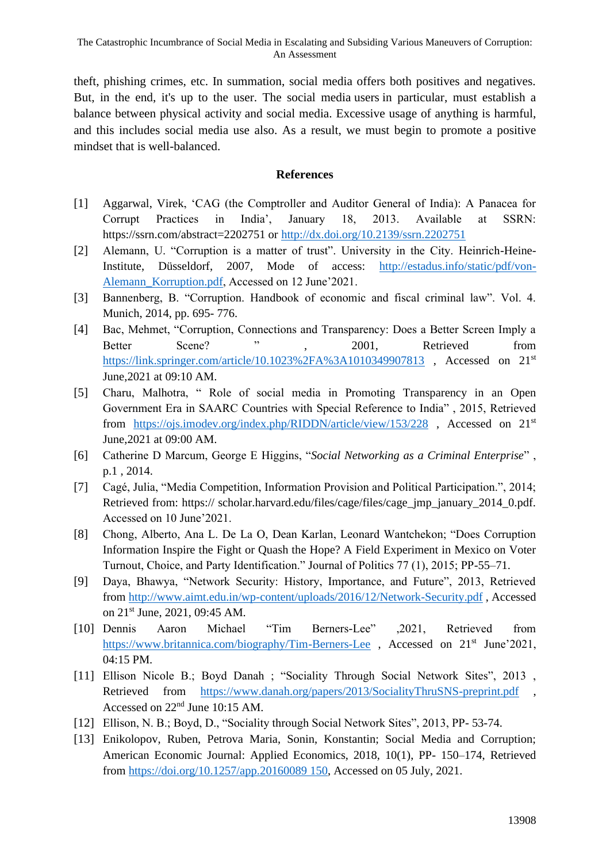theft, phishing crimes, etc. In summation, social media offers both positives and negatives. But, in the end, it's up to the user. The social media users in particular, must establish a balance between physical activity and social media. Excessive usage of anything is harmful, and this includes social media use also. As a result, we must begin to promote a positive mindset that is well-balanced.

#### **References**

- [1] Aggarwal, Virek, 'CAG (the Comptroller and Auditor General of India): A Panacea for Corrupt Practices in India', January 18, 2013. Available at SSRN: https://ssrn.com/abstract=2202751 or<http://dx.doi.org/10.2139/ssrn.2202751>
- [2] Alemann, U. "Corruption is a matter of trust". University in the City. Heinrich-Heine-Institute, Düsseldorf, 2007, Mode of access: [http://estadus.info/static/pdf/von-](http://estadus.info/static/pdf/von-Alemann_Korruption.pdf)[Alemann\\_Korruption.pdf,](http://estadus.info/static/pdf/von-Alemann_Korruption.pdf) Accessed on 12 June'2021.
- [3] Bannenberg, B. "Corruption. Handbook of economic and fiscal criminal law". Vol. 4. Munich, 2014, pp. 695- 776.
- [4] Bac, Mehmet, "Corruption, Connections and Transparency: Does a Better Screen Imply a Better Scene? ", 2001, Retrieved from <https://link.springer.com/article/10.1023%2FA%3A1010349907813>, Accessed on 21<sup>st</sup> June,2021 at 09:10 AM.
- [5] Charu, Malhotra, " Role of social media in Promoting Transparency in an Open Government Era in SAARC Countries with Special Reference to India" , 2015, Retrieved from <https://ojs.imodev.org/index.php/RIDDN/article/view/153/228> , Accessed on 21st June,2021 at 09:00 AM.
- [6] Catherine D Marcum, George E Higgins, "*Social Networking as a Criminal Enterprise*" , p.1 , 2014.
- [7] Cagé, Julia, "Media Competition, Information Provision and Political Participation.", 2014; Retrieved from: https:// scholar.harvard.edu/files/cage/files/cage\_jmp\_january\_2014\_0.pdf. Accessed on 10 June'2021.
- [8] Chong, Alberto, Ana L. De La O, Dean Karlan, Leonard Wantchekon; "Does Corruption Information Inspire the Fight or Quash the Hope? A Field Experiment in Mexico on Voter Turnout, Choice, and Party Identification." Journal of Politics 77 (1), 2015; PP-55–71.
- [9] Daya, Bhawya, "Network Security: History, Importance, and Future", 2013, Retrieved from<http://www.aimt.edu.in/wp-content/uploads/2016/12/Network-Security.pdf> , Accessed on 21st June, 2021, 09:45 AM.
- [10] Dennis Aaron Michael "Tim Berners-Lee" ,2021, Retrieved from <https://www.britannica.com/biography/Tim-Berners-Lee>, Accessed on 21<sup>st</sup> June'2021, 04:15 PM.
- [11] Ellison Nicole B.; Boyd Danah ; "Sociality Through Social Network Sites", 2013 , Retrieved from <https://www.danah.org/papers/2013/SocialityThruSNS-preprint.pdf> Accessed on 22nd June 10:15 AM.
- [12] Ellison, N. B.; Boyd, D., "Sociality through Social Network Sites", 2013, PP- 53-74.
- [13] Enikolopov, Ruben, Petrova Maria, Sonin, Konstantin; Social Media and Corruption; American Economic Journal: Applied Economics, 2018, 10(1), PP- 150–174, Retrieved from [https://doi.org/10.1257/app.20160089 150,](https://doi.org/10.1257/app.20160089%20150) Accessed on 05 July, 2021.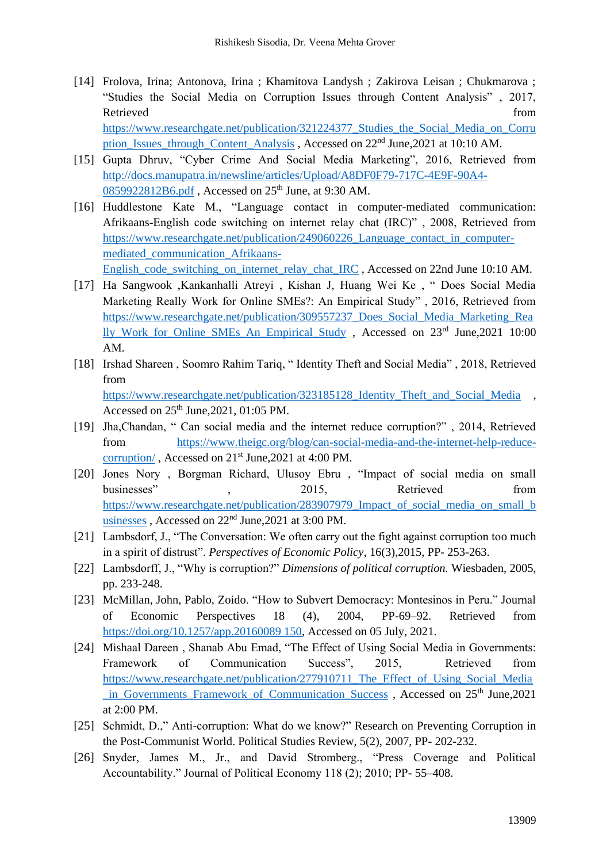- [14] Frolova, Irina; Antonova, Irina ; Khamitova Landysh ; Zakirova Leisan ; Chukmarova ; "Studies the Social Media on Corruption Issues through Content Analysis" , 2017, Retrieved from the state of the state of the state of the state of the state of the state of the state of the state of the state of the state of the state of the state of the state of the state of the state of the state of [https://www.researchgate.net/publication/321224377\\_Studies\\_the\\_Social\\_Media\\_on\\_Corru](https://www.researchgate.net/publication/321224377_Studies_the_Social_Media_on_Corruption_Issues_through_Content_Analysis) [ption\\_Issues\\_through\\_Content\\_Analysis](https://www.researchgate.net/publication/321224377_Studies_the_Social_Media_on_Corruption_Issues_through_Content_Analysis), Accessed on 22<sup>nd</sup> June,2021 at 10:10 AM.
- [15] Gupta Dhruv, "Cyber Crime And Social Media Marketing", 2016, Retrieved from [http://docs.manupatra.in/newsline/articles/Upload/A8DF0F79-717C-4E9F-90A4-](http://docs.manupatra.in/newsline/articles/Upload/A8DF0F79-717C-4E9F-90A4-0859922812B6.pdf) [0859922812B6.pdf](http://docs.manupatra.in/newsline/articles/Upload/A8DF0F79-717C-4E9F-90A4-0859922812B6.pdf), Accessed on 25<sup>th</sup> June, at 9:30 AM.
- [16] Huddlestone Kate M., "Language contact in computer-mediated communication: Afrikaans-English code switching on internet relay chat (IRC)" , 2008, Retrieved from [https://www.researchgate.net/publication/249060226\\_Language\\_contact\\_in\\_computer](https://www.researchgate.net/publication/249060226_Language_contact_in_computer-mediated_communication_Afrikaans-English_code_switching_on_internet_relay_chat_IRC)[mediated\\_communication\\_Afrikaans-](https://www.researchgate.net/publication/249060226_Language_contact_in_computer-mediated_communication_Afrikaans-English_code_switching_on_internet_relay_chat_IRC)

[English\\_code\\_switching\\_on\\_internet\\_relay\\_chat\\_IRC](https://www.researchgate.net/publication/249060226_Language_contact_in_computer-mediated_communication_Afrikaans-English_code_switching_on_internet_relay_chat_IRC) , Accessed on 22nd June 10:10 AM.

- [17] Ha Sangwook ,Kankanhalli Atreyi , Kishan J, Huang Wei Ke , " Does Social Media Marketing Really Work for Online SMEs?: An Empirical Study" , 2016, Retrieved from [https://www.researchgate.net/publication/309557237\\_Does\\_Social\\_Media\\_Marketing\\_Rea](https://www.researchgate.net/publication/309557237_Does_Social_Media_Marketing_Really_Work_for_Online_SMEs_An_Empirical_Study) lly Work for Online SMEs An Empirical Study , Accessed on  $23<sup>rd</sup>$  June, 2021 10:00 AM.
- [18] Irshad Shareen , Soomro Rahim Tariq, " Identity Theft and Social Media" , 2018, Retrieved from [https://www.researchgate.net/publication/323185128\\_Identity\\_Theft\\_and\\_Social\\_Media](https://www.researchgate.net/publication/323185128_Identity_Theft_and_Social_Media) , Accessed on 25th June,2021, 01:05 PM.
- [19] Jha,Chandan, " Can social media and the internet reduce corruption?" , 2014, Retrieved from [https://www.theigc.org/blog/can-social-media-and-the-internet-help-reduce](https://www.theigc.org/blog/can-social-media-and-the-internet-help-reduce-corruption/)[corruption/](https://www.theigc.org/blog/can-social-media-and-the-internet-help-reduce-corruption/), Accessed on 21<sup>st</sup> June, 2021 at 4:00 PM.
- [20] Jones Nory , Borgman Richard, Ulusoy Ebru , "Impact of social media on small businesses",  $2015$ , Retrieved from [https://www.researchgate.net/publication/283907979\\_Impact\\_of\\_social\\_media\\_on\\_small\\_b](https://www.researchgate.net/publication/283907979_Impact_of_social_media_on_small_businesses) [usinesses](https://www.researchgate.net/publication/283907979_Impact_of_social_media_on_small_businesses), Accessed on 22<sup>nd</sup> June, 2021 at 3:00 PM.
- [21] Lambsdorf, J., "The Conversation: We often carry out the fight against corruption too much in a spirit of distrust". *Perspectives of Economic Policy*, 16(3),2015, PP- 253-263.
- [22] Lambsdorff, J., "Why is corruption?" *Dimensions of political corruption.* Wiesbaden, 2005, pp. 233-248.
- [23] McMillan, John, Pablo, Zoido. "How to Subvert Democracy: Montesinos in Peru." Journal of Economic Perspectives 18 (4), 2004, PP-69–92. Retrieved from [https://doi.org/10.1257/app.20160089 150,](https://doi.org/10.1257/app.20160089%20150) Accessed on 05 July, 2021.
- [24] Mishaal Dareen , Shanab Abu Emad, "The Effect of Using Social Media in Governments: Framework of Communication Success", 2015, Retrieved from [https://www.researchgate.net/publication/277910711\\_The\\_Effect\\_of\\_Using\\_Social\\_Media](https://www.researchgate.net/publication/277910711_The_Effect_of_Using_Social_Media_in_Governments_Framework_of_Communication_Success) [\\_in\\_Governments\\_Framework\\_of\\_Communication\\_Success](https://www.researchgate.net/publication/277910711_The_Effect_of_Using_Social_Media_in_Governments_Framework_of_Communication_Success) , Accessed on 25th June,2021 at 2:00 PM.
- [25] Schmidt, D.," Anti-corruption: What do we know?" Research on Preventing Corruption in the Post-Communist World. Political Studies Review, 5(2), 2007, PP- 202-232.
- [26] Snyder, James M., Jr., and David Stromberg., "Press Coverage and Political Accountability." Journal of Political Economy 118 (2); 2010; PP- 55–408.